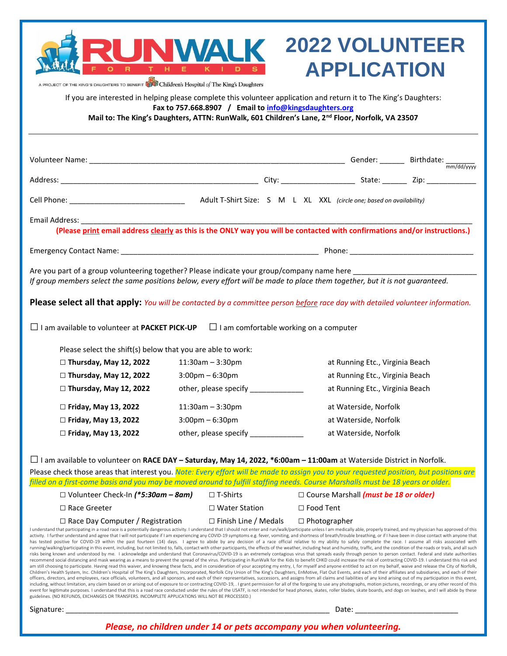| OF THE KING'S DAUGHTERS TO BENEFIT <b>THE Children's Hospital</b> of The King's Daughters                                                                                                                                                                                                                                                                             |  | D                                                      |  | <b>2022 VOLUNTEER</b><br><b>APPLICATION</b>                                                     |  |
|-----------------------------------------------------------------------------------------------------------------------------------------------------------------------------------------------------------------------------------------------------------------------------------------------------------------------------------------------------------------------|--|--------------------------------------------------------|--|-------------------------------------------------------------------------------------------------|--|
| If you are interested in helping please complete this volunteer application and return it to The King's Daughters:                                                                                                                                                                                                                                                    |  | Fax to 757.668.8907 / Email to info@kingsdaughters.org |  | Mail to: The King's Daughters, ATTN: RunWalk, 601 Children's Lane, 2nd Floor, Norfolk, VA 23507 |  |
|                                                                                                                                                                                                                                                                                                                                                                       |  |                                                        |  |                                                                                                 |  |
|                                                                                                                                                                                                                                                                                                                                                                       |  |                                                        |  |                                                                                                 |  |
|                                                                                                                                                                                                                                                                                                                                                                       |  |                                                        |  |                                                                                                 |  |
| Email Address: _____<br>(Please print email address clearly as this is the ONLY way you will be contacted with confirmations and/or instructions.)                                                                                                                                                                                                                    |  |                                                        |  |                                                                                                 |  |
|                                                                                                                                                                                                                                                                                                                                                                       |  |                                                        |  |                                                                                                 |  |
| Are you part of a group volunteering together? Please indicate your group/company name here<br>If group members select the same positions below, every effort will be made to place them together, but it is not guaranteed.<br><b>Please select all that apply:</b> You will be contacted by a committee person before race day with detailed volunteer information. |  |                                                        |  |                                                                                                 |  |
| $\Box$ I am available to volunteer at PACKET PICK-UP                                                                                                                                                                                                                                                                                                                  |  | $\Box$ I am comfortable working on a computer          |  |                                                                                                 |  |
| Please select the shift(s) below that you are able to work:                                                                                                                                                                                                                                                                                                           |  |                                                        |  |                                                                                                 |  |
| $\Box$ Thursday, May 12, 2022                                                                                                                                                                                                                                                                                                                                         |  | $11:30am - 3:30pm$                                     |  | at Running Etc., Virginia Beach                                                                 |  |
| $\Box$ Thursday, May 12, 2022                                                                                                                                                                                                                                                                                                                                         |  | $3:00$ pm $-6:30$ pm                                   |  | at Running Etc., Virginia Beach                                                                 |  |
| $\Box$ Thursday, May 12, 2022                                                                                                                                                                                                                                                                                                                                         |  |                                                        |  | at Running Etc., Virginia Beach                                                                 |  |
| $\Box$ Friday, May 13, 2022                                                                                                                                                                                                                                                                                                                                           |  | $11:30am - 3:30pm$                                     |  | at Waterside, Norfolk                                                                           |  |
| $\Box$ Friday, May 13, 2022                                                                                                                                                                                                                                                                                                                                           |  | $3:00$ pm $-6:30$ pm                                   |  | at Waterside, Norfolk                                                                           |  |
| □ Friday, May 13, 2022                                                                                                                                                                                                                                                                                                                                                |  | other, please specify                                  |  | at Waterside, Norfolk                                                                           |  |
| $\Box$ I am available to volunteer on RACE DAY – Saturday, May 14, 2022, *6:00am – 11:00am at Waterside District in Norfolk.<br>Please check those areas that interest you. Note: Every effort will be made to assign you to your requested position, but positions are                                                                                               |  |                                                        |  |                                                                                                 |  |
| filled on a first-come basis and you may be moved around to fulfill staffing needs. Course Marshalls must be 18 years or older.                                                                                                                                                                                                                                       |  | $\Box$ T-Shirts                                        |  | □ Course Marshall (must be 18 or older)                                                         |  |
| $\Box$ Volunteer Check-In (*5:30am – 8am)<br>$\Box$ Race Greeter                                                                                                                                                                                                                                                                                                      |  | $\Box$ Water Station                                   |  | $\Box$ Food Tent                                                                                |  |
| $\Box$ Race Day Computer / Registration                                                                                                                                                                                                                                                                                                                               |  | $\Box$ Finish Line / Medals                            |  | $\Box$ Photographer                                                                             |  |
| Lunderstand that participating in a road race is a potentially dangerous activity. Lunderstand that I should not enter and run/walk/participate unless Lam medically able, properly trained, and my physician bas approved of                                                                                                                                         |  |                                                        |  |                                                                                                 |  |

I understand that participating in a road race is a potentially dangerous activity. I understand that I should not enter and run/walk/participate unless I am medically able, properly trained, and my physician has approved has tested positive for COVID-19 within the past fourteen (14) days. I agree to abide by any decision of a race official relative to my ability to safely complete the race. I assume all risks associated with running/walking/participating in this event, including, but not limited to, falls, contact with other participants, the effects of the weather, including heat and humidity, traffic, and the condition of the roads or trails recommend social distancing and mask wearing as a means to prevent the spread of the virus. Participating in RunWalk for the Kids to benefit CHKD could increase the risk of contracting COVID-19. I understand this risk and am still choosing to participate. Having read this waiver, and knowing these facts, and in consideration of your accepting my entry, I, for myself and anyone entitled to act on my behalf, waive and release the City of Norf Children's Health System, Inc. Children's Hospital of The King's Daughters, Incorporated, Norfolk City Union of The King's Daughters, EnMotive, Flat Out Events, and each of their affiliates and subsidiaries, and each of th including, without limitation, any claim based on or arising out of exposure to or contracting COVID-19, . I grant permission for all of the forgoing to use any photographs, motion pictures, recordings, or any other record event for legitimate purposes. I understand that this is a road race conducted under the rules of the USATF, is not intended for head phones, skates, roller blades, skate boards, and dogs on leashes, and I will abide by th guidelines. (NO REFUNDS, EXCHANGES OR TRANSFERS. INCOMPLETE APPLICATIONS WILL NOT BE PROCESSED.)

Signature: \_\_\_\_\_\_\_\_\_\_\_\_\_\_\_\_\_\_\_\_\_\_\_\_\_\_\_\_\_\_\_\_\_\_\_\_\_\_\_\_\_\_\_\_\_\_\_\_\_\_\_\_\_\_\_\_\_\_\_\_\_\_\_\_ Date: \_\_\_\_\_\_\_\_\_\_\_\_\_\_\_\_\_\_\_\_\_\_\_\_\_

*Please, no children under 14 or pets accompany you when volunteering.*